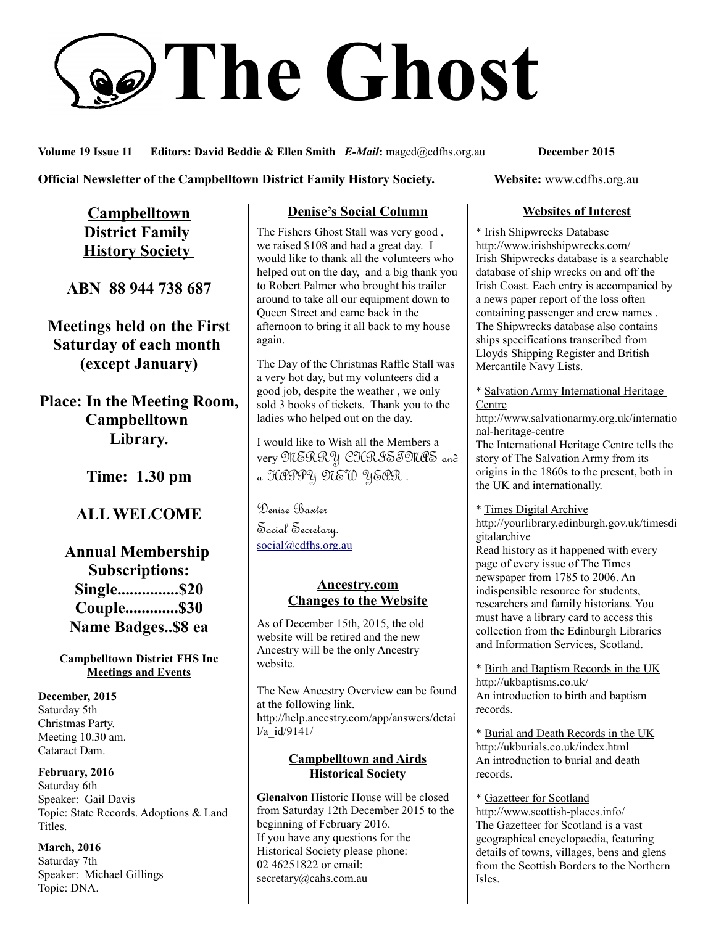# **The Ghost**

**Volume 19 Issue 11 Editors: David Beddie & Ellen Smith** *E-Mail***:** maged@cdfhs.org.au **December 2015**

### **Official Newsletter of the Campbelltown District Family History Society. Website: www.cdfhs.org.au**

**Campbelltown District Family History Society** 

**ABN 88 944 738 687**

**Meetings held on the First Saturday of each month (except January)**

**Place: In the Meeting Room, Campbelltown Library.**

**Time: 1.30 pm**

### **ALL WELCOME**

**Annual Membership Subscriptions: Single...............\$20 Couple.............\$30 Name Badges..\$8 ea**

### **Campbelltown District FHS Inc Meetings and Events**

**December, 2015** Saturday 5th Christmas Party. Meeting 10.30 am. Cataract Dam.

**February, 2016** Saturday 6th Speaker: Gail Davis Topic: State Records. Adoptions & Land Titles.

**March, 2016** Saturday 7th Speaker: Michael Gillings Topic: DNA.

### **Denise's Social Column**

The Fishers Ghost Stall was very good , we raised \$108 and had a great day. I would like to thank all the volunteers who helped out on the day, and a big thank you to Robert Palmer who brought his trailer around to take all our equipment down to Queen Street and came back in the afternoon to bring it all back to my house again.

The Day of the Christmas Raffle Stall was a very hot day, but my volunteers did a good job, despite the weather , we only sold 3 books of tickets. Thank you to the ladies who helped out on the day.

I would like to Wish all the Members a very MERRY CHRISTMAS and a HAPPY NEW YEAR.

Denise Baxter

Social Secretary. [social@cdfhs.org.au](mailto:social@cdfhs.org.au)

### **Ancestry.com Changes to the Website**

——————–

As of December 15th, 2015, the old website will be retired and the new Ancestry will be the only Ancestry website.

The New Ancestry Overview can be found at the following link. http://help.ancestry.com/app/answers/detai l/a\_id/9141/ ——————–

### **Campbelltown and Airds Historical Society**

**Glenalvon** Historic House will be closed from Saturday 12th December 2015 to the beginning of February 2016. If you have any questions for the Historical Society please phone: 02 46251822 or email: secretary@cahs.com.au

### **Websites of Interest**

\* Irish Shipwrecks Database http://www.irishshipwrecks.com/ Irish Shipwrecks database is a searchable database of ship wrecks on and off the Irish Coast. Each entry is accompanied by a news paper report of the loss often containing passenger and crew names . The Shipwrecks database also contains ships specifications transcribed from Lloyds Shipping Register and British Mercantile Navy Lists.

\* Salvation Army International Heritage Centre

http://www.salvationarmy.org.uk/internatio nal-heritage-centre

The International Heritage Centre tells the story of The Salvation Army from its origins in the 1860s to the present, both in the UK and internationally.

\* Times Digital Archive

http://yourlibrary.edinburgh.gov.uk/timesdi gitalarchive

Read history as it happened with every page of every issue of The Times newspaper from 1785 to 2006. An indispensible resource for students, researchers and family historians. You must have a library card to access this collection from the Edinburgh Libraries and Information Services, Scotland.

\* Birth and Baptism Records in the UK http://ukbaptisms.co.uk/ An introduction to birth and baptism records.

\* Burial and Death Records in the UK http://ukburials.co.uk/index.html An introduction to burial and death records.

\* Gazetteer for Scotland http://www.scottish-places.info/ The Gazetteer for Scotland is a vast geographical encyclopaedia, featuring details of towns, villages, bens and glens from the Scottish Borders to the Northern Isles.